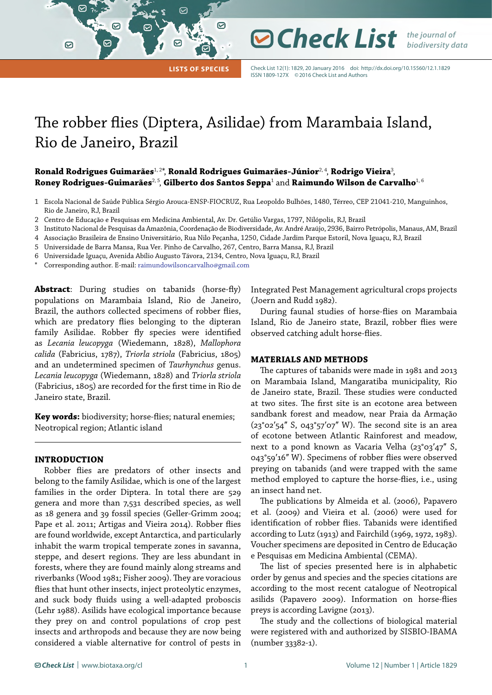**Lists of Species**

☑

☞

Check List 12(1): 1829, 20 January 2016 doi:<http://dx.doi.org/10.15560/12.1.1829> ISSN 1809-127X ©2016 Check List and Authors

*Check List the journal of* 

*biodiversity data*

# The robber flies (Diptera, Asilidae) from Marambaia Island, Rio de Janeiro, Brazil

**Ronald Rodrigues Guimarães**1, 2\*, **Ronald Rodrigues Guimarães-Júnior**2, 4, **Rodrigo Vieira**<sup>3</sup> , **Roney Rodrigues-Guimarães<sup>2, 5</sup>, Gilberto dos Santos Seppa** $^1$  **and <b>Raimundo Wilson de Carvalho**<sup>1, 6</sup>

- 1 Escola Nacional de Saúde Pública Sérgio Arouca-ENSP-FIOCRUZ, Rua Leopoldo Bulhões, 1480, Térreo, CEP 21041-210, Manguinhos, Rio de Janeiro, RJ, Brazil
- 2 Centro de Educação e Pesquisas em Medicina Ambiental, Av. Dr. Getúlio Vargas, 1797, Nilópolis, RJ, Brazil
- 3 Instituto Nacional de Pesquisas da Amazônia, Coordenação de Biodiversidade, Av. André Araújo, 2936, Bairro Petrópolis, Manaus, AM, Brazil
- 4 Associação Brasileira de Ensino Universitário, Rua Nilo Peçanha, 1250, Cidade Jardim Parque Estoril, Nova Iguaçu, RJ, Brazil
- 5 Universidade de Barra Mansa, Rua Ver. Pinho de Carvalho, 267, Centro, Barra Mansa, RJ, Brazil
- 6 Universidade Iguaçu, Avenida Abílio Augusto Távora, 2134, Centro, Nova Iguaçu, RJ, Brazil
- Corresponding author. E-mail: [raimundowilsoncarvalho@gmail.com](mailto:raimundowilsoncarvalho%40gmail.com?subject=)

罓

 $\odot$ 

Abstract: During studies on tabanids (horse-fly) populations on Marambaia Island, Rio de Janeiro, Brazil, the authors collected specimens of robber flies, which are predatory flies belonging to the dipteran family Asilidae. Robber fly species were identified as *Lecania leucopyga* (Wiedemann, 1828), *Mallophora calida* (Fabricius, 1787), *Triorla striola* (Fabricius, 1805) and an undetermined specimen of *Taurhynchus* genus. *Lecania leucopyga* (Wiedemann, 1828) and *Triorla striola* (Fabricius, 1805) are recorded for the first time in Rio de Janeiro state, Brazil.

**Key words:** biodiversity; horse-flies; natural enemies; Neotropical region; Atlantic island

## **INTRODUCTION**

Robber flies are predators of other insects and belong to the family Asilidae, which is one of the largest families in the order Diptera. In total there are 529 genera and more than 7,531 described species, as well as 18 genera and 39 fossil species (Geller-Grimm 2004; Pape et al. 2011; Artigas and Vieira 2014). Robber flies are found worldwide, except Antarctica, and particularly inhabit the warm tropical temperate zones in savanna, steppe, and desert regions. They are less abundant in forests, where they are found mainly along streams and riverbanks (Wood 1981; Fisher 2009). They are voracious flies that hunt other insects, inject proteolytic enzymes, and suck body fluids using a well-adapted proboscis (Lehr 1988). Asilids have ecological importance because they prey on and control populations of crop pest insects and arthropods and because they are now being considered a viable alternative for control of pests in Integrated Pest Management agricultural crops projects (Joern and Rudd 1982).

During faunal studies of horse-flies on Marambaia Island, Rio de Janeiro state, Brazil, robber flies were observed catching adult horse-flies.

## **MATERIALS AND METHODS**

The captures of tabanids were made in 1981 and 2013 on Marambaia Island, Mangaratiba municipality, Rio de Janeiro state, Brazil. These studies were conducted at two sites. The first site is an ecotone area between sandbank forest and meadow, near Praia da Armação  $(23°02'54"$  S, 043°57'07" W). The second site is an area of ecotone between Atlantic Rainforest and meadow, next to a pond known as Vacaria Velha (23°03'47" S, 043°59ʹ16ʺ W). Specimens of robber flies were observed preying on tabanids (and were trapped with the same method employed to capture the horse-flies, i.e., using an insect hand net.

The publications by Almeida et al. (2006), Papavero et al. (2009) and Vieira et al. (2006) were used for identification of robber flies. Tabanids were identified according to Lutz (1913) and Fairchild (1969, 1972, 1983). Voucher specimens are deposited in Centro de Educação e Pesquisas em Medicina Ambiental (CEMA).

The list of species presented here is in alphabetic order by genus and species and the species citations are according to the most recent catalogue of Neotropical asilids (Papavero 2009). Information on horse-flies preys is according Lavigne (2013).

The study and the collections of biological material were registered with and authorized by SISBIO-IBAMA (number 33382-1).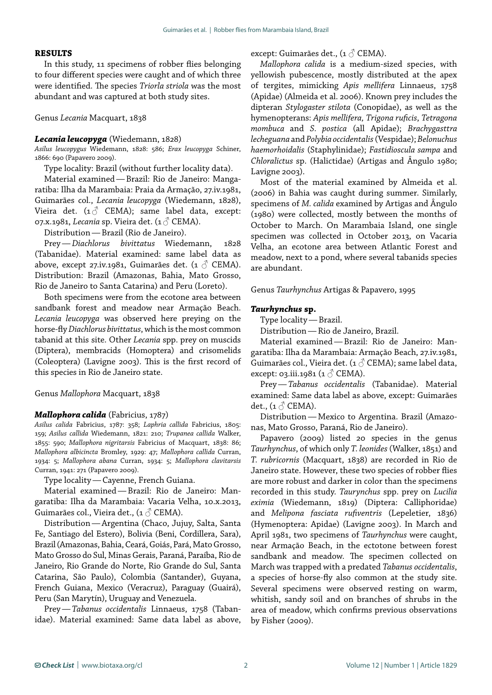## **RESULTS**

In this study, 11 specimens of robber flies belonging to four different species were caught and of which three were identified. The species *Triorla striola* was the most abundant and was captured at both study sites.

Genus *Lecania* Macquart, 1838

## *Lecania leucopyga* (Wiedemann, 1828)

*Asilus leucopygus* Wiedemann, 1828: 586; *Erax leucopyga* Schiner, 1866: 690 (Papavero 2009).

Type locality: Brazil (without further locality data).

Material examined—Brazil: Rio de Janeiro: Mangaratiba: Ilha da Marambaia: Praia da Armação, 27.iv.1981, Guimarães col., *Lecania leucopyga* (Wiedemann, 1828), Vieira det.  $(1 \text{ or } CEMA)$ ; same label data, except: 07.x.1981, *Lecania* sp. Vieira det. (1♂ CEMA).

Distribution—Brazil (Rio de Janeiro).

Prey—*Diachlorus bivittatus* Wiedemann, 1828 (Tabanidae). Material examined: same label data as above, except 27.iv.1981, Guimarães det. (1  $\circ$  CEMA). Distribution: Brazil (Amazonas, Bahia, Mato Grosso, Rio de Janeiro to Santa Catarina) and Peru (Loreto).

Both specimens were from the ecotone area between sandbank forest and meadow near Armação Beach. *Lecania leucopyga* was observed here preying on the horse-fly *Diachlorus bivittatus*, which is the most common tabanid at this site. Other *Lecania* spp. prey on muscids (Diptera), membracids (Homoptera) and crisomelids (Coleoptera) (Lavigne 2003). This is the first record of this species in Rio de Janeiro state.

Genus *Mallophora* Macquart, 1838

#### *Mallophora calida* (Fabricius, 1787)

*Asilus calida* Fabricius, 1787: 358; *Laphria callida* Fabricius, 1805: 159; *Asilus callida* Wiedemann, 1821: 210; *Trupanea callida* Walker, 1855: 590; *Mallophora nigritarsis* Fabricius of Macquart, 1838: 86; *Mallophora albicincta* Bromley, 1929: 47; *Mallophora callida* Curran, 1934: 5; *Mallophora abana* Curran, 1934: 5; *Mallophora clavitarsis*  Curran, 1941: 271 (Papavero 2009).

Type locality—Cayenne, French Guiana.

Material examined—Brazil: Rio de Janeiro: Mangaratiba: Ilha da Marambaia: Vacaria Velha, 10.x.2013, Guimarães col., Vieira det., (1  $\circ$  CEMA).

Distribution—Argentina (Chaco, Jujuy, Salta, Santa Fe, Santiago del Estero), Bolivia (Beni, Cordillera, Sara), Brazil (Amazonas, Bahia, Ceará, Goiás, Pará, Mato Grosso, Mato Grosso do Sul, Minas Gerais, Paraná, Paraíba, Rio de Janeiro, Rio Grande do Norte, Rio Grande do Sul, Santa Catarina, São Paulo), Colombia (Santander), Guyana, French Guiana, Mexico (Veracruz), Paraguay (Guairá), Peru (San Marytín), Uruguay and Venezuela.

Prey—*Tabanus occidentalis* Linnaeus, 1758 (Tabanidae). Material examined: Same data label as above, except: Guimarães det., (1 $\circ$  CEMA).

*Mallophora calida* is a medium-sized species, with yellowish pubescence, mostly distributed at the apex of tergites, mimicking *Apis mellifera* Linnaeus, 1758 (Apidae) (Almeida et al. 2006). Known prey includes the dipteran *Stylogaster stilota* (Conopidae), as well as the hymenopterans: *Apis mellifera, Trigona ruficis*, *Tetragona mombuca* and *S. postica* (all Apidae); *Brachygasttra lecheguana* and *Polybia occidentalis* (Vespidae); *Belonuchus haemorhoidalis* (Staphylinidae); *Fastidioscula sampa* and *Chloralictus* sp. (Halictidae) (Artigas and Ângulo 1980; Lavigne 2003).

Most of the material examined by Almeida et al. (2006) in Bahia was caught during summer. Similarly, specimens of *M. calida* examined by Artigas and Ângulo (1980) were collected, mostly between the months of October to March. On Marambaia Island, one single specimen was collected in October 2013, on Vacaria Velha, an ecotone area between Atlantic Forest and meadow, next to a pond, where several tabanids species are abundant.

Genus *Taurhynchus* Artigas & Papavero, 1995

### *Taurhynchus* **sp.**

Type locality—Brazil.

Distribution—Rio de Janeiro, Brazil.

Material examined—Brazil: Rio de Janeiro: Mangaratiba: Ilha da Marambaia: Armação Beach, 27.iv.1981, Guimarães col., Vieira det. (1  $\circlearrowright$  CEMA); same label data, except: 03.iii.1981 (1 $\circ$  CEMA).

Prey—*Tabanus occidentalis* (Tabanidae). Material examined: Same data label as above, except: Guimarães det.,  $(1 \circlearrowleft$  CEMA).

Distribution—Mexico to Argentina. Brazil (Amazonas, Mato Grosso, Paraná, Rio de Janeiro).

Papavero (2009) listed 20 species in the genus *Taurhynchus*, of which only *T. leonides* (Walker, 1851) and *T. rubricornis* (Macquart, 1838) are recorded in Rio de Janeiro state. However, these two species of robber flies are more robust and darker in color than the specimens recorded in this study. *Taurynchus* spp. prey on *Lucilia eximia* (Wiedemann, 1819) (Diptera: Calliphoridae) and *Melipona fasciata rufiventris* (Lepeletier, 1836) (Hymenoptera: Apidae) (Lavigne 2003). In March and April 1981, two specimens of *Taurhynchus* were caught, near Armação Beach, in the ectotone between forest sandbank and meadow. The specimen collected on March was trapped with a predated *Tabanus occidentalis*, a species of horse-fly also common at the study site. Several specimens were observed resting on warm, whitish, sandy soil and on branches of shrubs in the area of meadow, which confirms previous observations by Fisher (2009).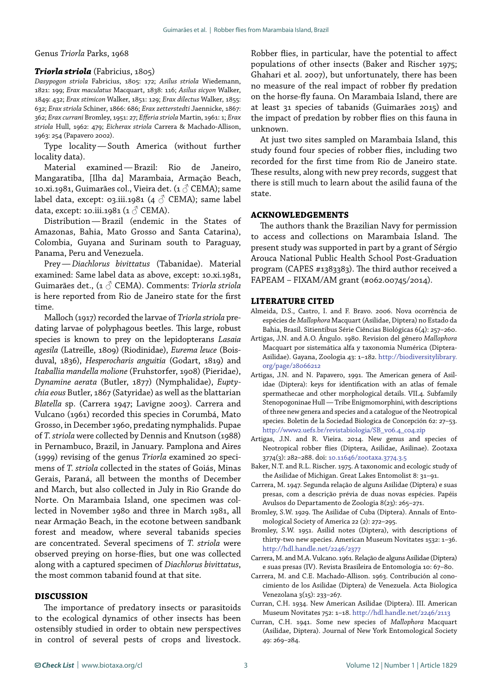Genus *Triorla* Parks, 1968

### *Triorla striola* (Fabricius, 1805)

*Dasypogon striola* Fabricius, 1805: 172; *Asilus striola* Wiedemann, 1821: 199; *Erax maculatus* Macquart, 1838: 116; *Asilus sicyon* Walker, 1849: 432; *Erax stimicon* Walker, 1851: 129; *Erax dilectus* Walker, 1855: 632; *Erax striola* Schiner, 1866: 686; *Erax zetterstedti* Jaennicke, 1867: 362; *Erax currani* Bromley, 1951: 27; *Efferia striola* Martin, 1961: 1; *Erax striola* Hull, 1962: 479; *Eicherax striola* Carrera & Machado-Allison, 1963: 254 (Papavero 2002).

Type locality—South America (without further locality data).

Material examined—Brazil: Rio de Janeiro, Mangaratiba, [Ilha da] Marambaia, Armação Beach, 10.xi.1981, Guimarães col., Vieira det. (1 $\circlearrowleft$  CEMA); same label data, except: 03.iii.1981 (4  $\circ$  CEMA); same label data, except: 10.iii.1981 (1 $\circ$  CEMA).

Distribution—Brazil (endemic in the States of Amazonas, Bahia, Mato Grosso and Santa Catarina), Colombia, Guyana and Surinam south to Paraguay, Panama, Peru and Venezuela.

Prey—*Diachlorus bivittatus* (Tabanidae). Material examined: Same label data as above, except: 10.xi.1981, Guimarães det., (1 ♂ CEMA). Comments: *Triorla striola* is here reported from Rio de Janeiro state for the first time.

Malloch (1917) recorded the larvae of *Triorla striola* predating larvae of polyphagous beetles. This large, robust species is known to prey on the lepidopterans *Lasaia agesila* (Latreille, 1809) (Riodinidae), *Eurema leuce* (Boisduval, 1836), *Hesperocharis anguitia* (Godart, 1819) and *Itaballia mandella molione* (Fruhstorfer, 1908) (Pieridae), *Dynamine aerata* (Butler, 1877) (Nymphalidae), *Euptychia eous* Butler, 1867 (Satyridae) as well as the blattarian *Blatella* sp. (Carrera 1947; Lavigne 2003). Carrera and Vulcano (1961) recorded this species in Corumbá, Mato Grosso, in December 1960, predating nymphalids. Pupae of *T. striola* were collected by Dennis and Knutson (1988) in Pernambuco, Brazil, in January. Pamplona and Aires (1999) revising of the genus *Triorla* examined 20 specimens of *T. striola* collected in the states of Goiás, Minas Gerais, Paraná, all between the months of December and March, but also collected in July in Rio Grande do Norte. On Marambaia Island, one specimen was collected in November 1980 and three in March 1981, all near Armação Beach, in the ecotone between sandbank forest and meadow, where several tabanids species are concentrated. Several specimens of *T. striola* were observed preying on horse-flies, but one was collected along with a captured specimen of *Diachlorus bivittatus*, the most common tabanid found at that site.

## **DISCUSSION**

The importance of predatory insects or parasitoids to the ecological dynamics of other insects has been ostensibly studied in order to obtain new perspectives in control of several pests of crops and livestock.

Robber flies, in particular, have the potential to affect populations of other insects (Baker and Rischer 1975; Ghahari et al. 2007), but unfortunately, there has been no measure of the real impact of robber fly predation on the horse-fly fauna. On Marambaia Island, there are at least 31 species of tabanids (Guimarães 2015) and the impact of predation by robber flies on this fauna in unknown.

At just two sites sampled on Marambaia Island, this study found four species of robber flies, including two recorded for the first time from Rio de Janeiro state. These results, along with new prey records, suggest that there is still much to learn about the asilid fauna of the state.

## **ACKNOWLEDGEMENTS**

The authors thank the Brazilian Navy for permission to access and collections on Marambaia Island. The present study was supported in part by a grant of Sérgio Arouca National Public Health School Post-Graduation program (CAPES #1383383). The third author received a FAPEAM – FIXAM/AM grant (#062.00745/2014).

### **LITERATURE CITED**

- Almeida, D.S., Castro, I. and F. Bravo. 2006. Nova ocorrência de espécies de *Mallophora* Macquart (Asilidae, Diptera) no Estado da Bahia, Brasil. Sitientibus Série Ciências Biológicas 6(4): 257–260.
- Artigas, J.N. and A.O. Ângulo. 1980. Revision del gênero *Mallophora*  Macquart por sistemática alfa y taxonomia Numérica (Diptera-Asilidae). Gayana, Zoologia 43: 1–182. [http://biodiversitylibrary.](http://biodiversitylibrary.org/page/28066212) [org/page/28066212](http://biodiversitylibrary.org/page/28066212)
- Artigas, J.N. and N. Papavero, 1991. The American genera of Asilidae (Diptera): keys for identification with an atlas of female spermathecae and other morphological details. VII.4. Subfamily Stenopogoninae Hull — Tribe Enigmomorphini, with descriptions of three new genera and species and a catalogue of the Neotropical species. Boletin de la Sociedad Biologica de Concepción 62: 27–53. [http://www2.uefs.br/revistabiologia/SB\\_v06.4\\_c04.zip](http://www2.uefs.br/revistabiologia/SB_v06.4_c04.zip)
- Artigas, J.N. and R. Vieira. 2014. New genus and species of Neotropical robber flies (Diptera, Asilidae, Asilinae). Zootaxa 3774(3): 282–288. doi: [10.11646/zootaxa.3774.3.5](http://dx.doi.org/10.11646/zootaxa.3774.3.5)
- Baker, N.T. and R.L. Rischer. 1975. A taxonomic and ecologic study of the Asilidae of Michigan. Great Lakes Entomolist 8: 31–91.
- Carrera, M. 1947. Segunda relação de alguns Asilidae (Diptera) e suas presas, com a descrição prévia de duas novas espécies. Papéis Avulsos do Departamento de Zoologia 8(23): 265–271.
- Bromley, S.W. 1929. The Asilidae of Cuba (Diptera). Annals of Entomological Society of America 22 (2): 272–295.
- Bromley, S.W. 1951. Asilid notes (Diptera), with descriptions of thirty-two new species. American Museum Novitates 1532: 1–36. <http://hdl.handle.net/2246/2377>
- Carrera, M. and M.A. Vulcano. 1961. Relação de alguns Asilidae (Diptera) e suas presas (IV). Revista Brasileira de Entomologia 10: 67–80.
- Carrera, M. and C.E. Machado-Allison. 1963. Contribución al conocimiento de los Asilidae (Diptera) de Venezuela. Acta Biologica Venezolana 3(15): 233–267.
- Curran, C.H. 1934. New American Asilidae (Diptera). III. American Museum Novitates 752: 1–18. <http://hdl.handle.net/2246/2113>
- Curran, C.H. 1941. Some new species of *Mallophora* Macquart (Asilidae, Diptera). Journal of New York Entomological Society 49: 269–284.